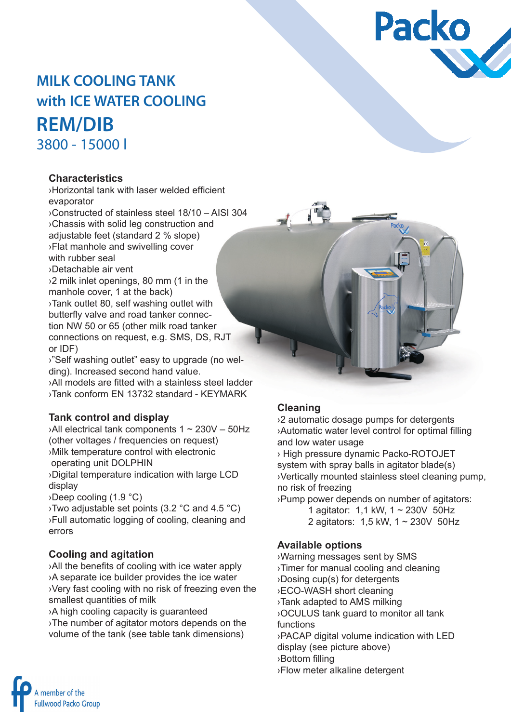

# **MILK COOLING TANK with ICE WATER COOLING REM/DIB** 3800 - 15000 l

#### **Characteristics**

›Horizontal tank with laser welded efficient evaporator

›Constructed of stainless steel 18/10 – AISI 304 ›Chassis with solid leg construction and adjustable feet (standard 2 % slope) ›Flat manhole and swivelling cover with rubber seal ›Detachable air vent ›2 milk inlet openings, 80 mm (1 in the

manhole cover, 1 at the back) ›Tank outlet 80, self washing outlet with butterfly valve and road tanker connection NW 50 or 65 (other milk road tanker connections on request, e.g. SMS, DS, RJT or IDF)

›"Self washing outlet" easy to upgrade (no welding). Increased second hand value.

›All models are fitted with a stainless steel ladder ›Tank conform EN 13732 standard - KEYMARK

### **Tank control and display**

 $\lambda$ All electrical tank components 1 ~ 230V – 50Hz (other voltages / frequencies on request) ›Milk temperature control with electronic operating unit DOLPHIN

›Digital temperature indication with large LCD display

›Deep cooling (1.9 °C)

›Two adjustable set points (3.2 °C and 4.5 °C) ›Full automatic logging of cooling, cleaning and errors

#### **Cooling and agitation**

›All the benefits of cooling with ice water apply ›A separate ice builder provides the ice water ›Very fast cooling with no risk of freezing even the smallest quantities of milk

›A high cooling capacity is guaranteed

›The number of agitator motors depends on the volume of the tank (see table tank dimensions)

#### **Cleaning**

›2 automatic dosage pumps for detergents ›Automatic water level control for optimal filling and low water usage

› High pressure dynamic Packo-ROTOJET system with spray balls in agitator blade(s) ›Vertically mounted stainless steel cleaning pump, no risk of freezing

›Pump power depends on number of agitators:

1 agitator: 1,1 kW, 1 ~ 230V 50Hz 2 agitators: 1,5 kW, 1 ~ 230V 50Hz

#### **Available options**

›Warning messages sent by SMS ›Timer for manual cooling and cleaning ›Dosing cup(s) for detergents ›ECO-WASH short cleaning ›Tank adapted to AMS milking ›OCULUS tank guard to monitor all tank functions ›PACAP digital volume indication with LED display (see picture above) ›Bottom filling ›Flow meter alkaline detergent